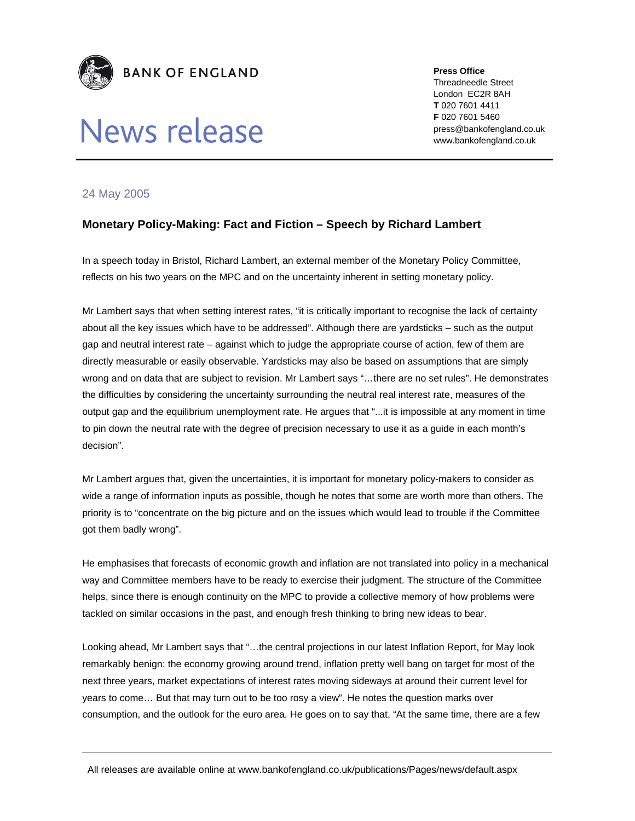

## News release

**Press Office**  Threadneedle Street London EC2R 8AH **T** 020 7601 4411 **F** 020 7601 5460 press@bankofengland.co.uk www.bankofengland.co.uk

## 24 May 2005

## **Monetary Policy-Making: Fact and Fiction – Speech by Richard Lambert**

In a speech today in Bristol, Richard Lambert, an external member of the Monetary Policy Committee, reflects on his two years on the MPC and on the uncertainty inherent in setting monetary policy.

Mr Lambert says that when setting interest rates, "it is critically important to recognise the lack of certainty about all the key issues which have to be addressed". Although there are yardsticks – such as the output gap and neutral interest rate – against which to judge the appropriate course of action, few of them are directly measurable or easily observable. Yardsticks may also be based on assumptions that are simply wrong and on data that are subject to revision. Mr Lambert says "…there are no set rules". He demonstrates the difficulties by considering the uncertainty surrounding the neutral real interest rate, measures of the output gap and the equilibrium unemployment rate. He argues that "...it is impossible at any moment in time to pin down the neutral rate with the degree of precision necessary to use it as a guide in each month's decision".

Mr Lambert argues that, given the uncertainties, it is important for monetary policy-makers to consider as wide a range of information inputs as possible, though he notes that some are worth more than others. The priority is to "concentrate on the big picture and on the issues which would lead to trouble if the Committee got them badly wrong".

He emphasises that forecasts of economic growth and inflation are not translated into policy in a mechanical way and Committee members have to be ready to exercise their judgment. The structure of the Committee helps, since there is enough continuity on the MPC to provide a collective memory of how problems were tackled on similar occasions in the past, and enough fresh thinking to bring new ideas to bear.

Looking ahead, Mr Lambert says that "…the central projections in our latest Inflation Report, for May look remarkably benign: the economy growing around trend, inflation pretty well bang on target for most of the next three years, market expectations of interest rates moving sideways at around their current level for years to come… But that may turn out to be too rosy a view". He notes the question marks over consumption, and the outlook for the euro area. He goes on to say that, "At the same time, there are a few